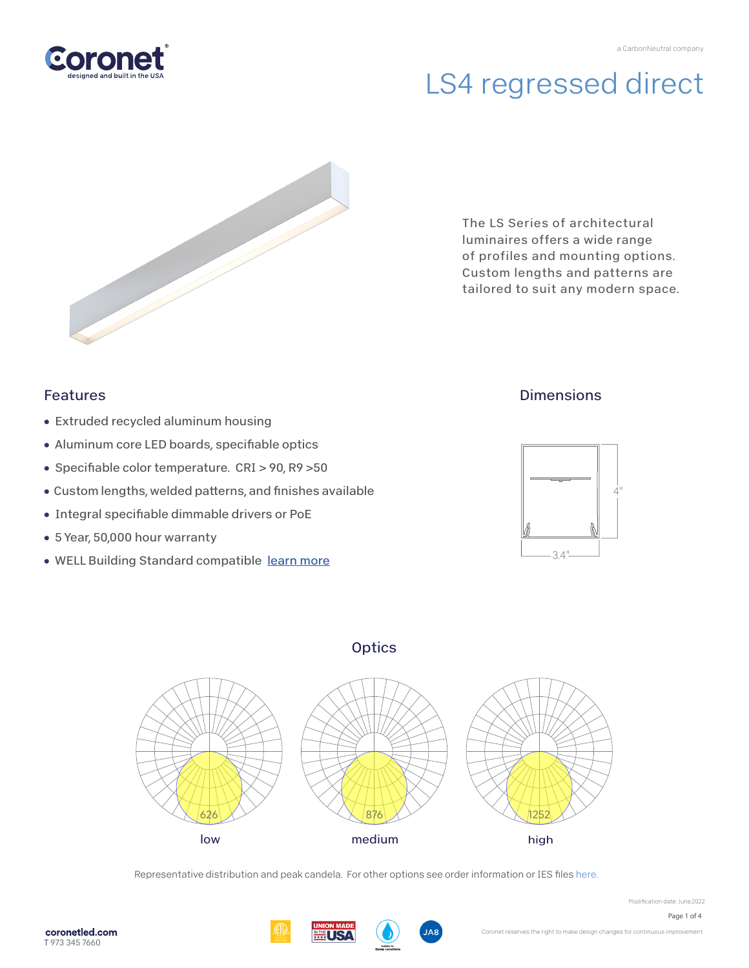

# LS4 regressed direct



The LS Series of architectural luminaires offers a wide range of profiles and mounting options. Custom lengths and patterns are tailored to suit any modern space.

## Features

- Extruded recycled aluminum housing
- Aluminum core LED boards, specifiable optics
- Specifiable color temperature. CRI > 90, R9 > 50
- Custom lengths, welded patterns, and finishes available
- Integral specifiable dimmable drivers or PoE
- 5 Year, 50,000 hour warranty
- WELL Building Standard compatible [learn more](https://coronetled.com/well-v2-standard/)

## **Dimensions**



## **Optics**



Representative distribution and peak candela. For other options see order information or IES file[s here.](https://coronetled.com/downloads/)





Modification date: June,2022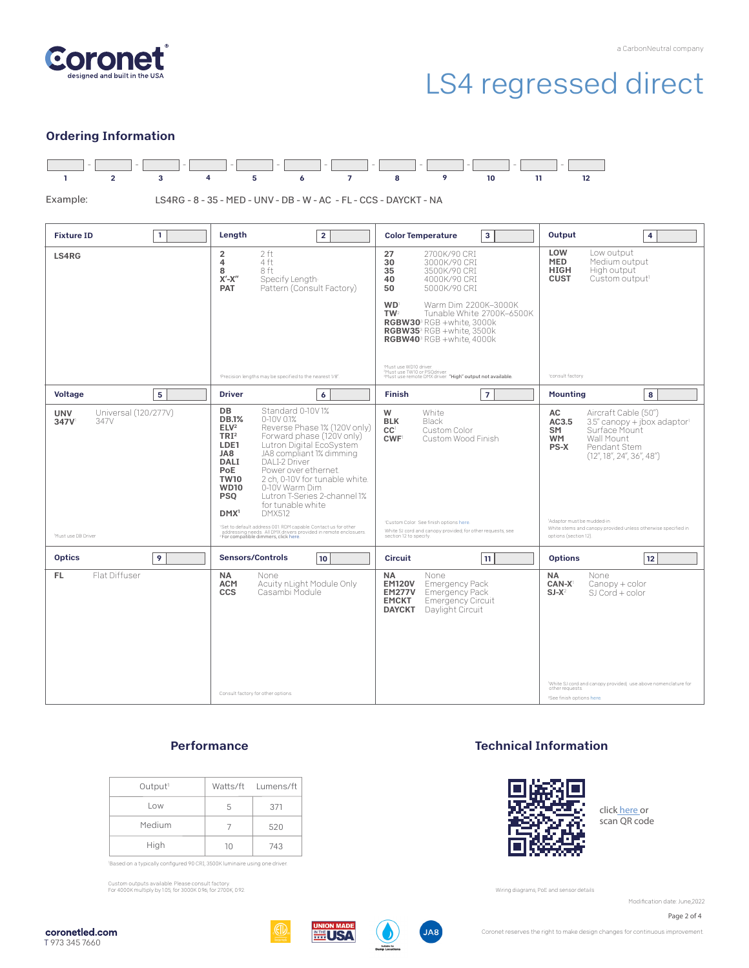

# LS4 regressed direct

### Ordering Information



Example:

LS4RG - 8 - 35 - MED - UNV - DB - W - AC - FL - CCS - DAYCKT - NA

| <b>Fixture ID</b><br>$\mathbf{1}$                  | Length<br>$\overline{2}$                                                                                                                                                                                                                                                                                                                                                                                                                                                                                                                                                                                                                              | <b>Color Temperature</b><br>3                                                                                                                                                                                                                                                                                                                                                                                                                                | Output<br>4                                                                                                                                                                                                                                                                   |
|----------------------------------------------------|-------------------------------------------------------------------------------------------------------------------------------------------------------------------------------------------------------------------------------------------------------------------------------------------------------------------------------------------------------------------------------------------------------------------------------------------------------------------------------------------------------------------------------------------------------------------------------------------------------------------------------------------------------|--------------------------------------------------------------------------------------------------------------------------------------------------------------------------------------------------------------------------------------------------------------------------------------------------------------------------------------------------------------------------------------------------------------------------------------------------------------|-------------------------------------------------------------------------------------------------------------------------------------------------------------------------------------------------------------------------------------------------------------------------------|
| LS4RG                                              | $\overline{2}$<br>2ft<br>4<br>4 ft<br>8<br>8 ft<br>$X'$ - $X''$<br>Specify Length<br>Pattern (Consult Factory)<br><b>PAT</b><br>'Precision lengths may be specified to the nearest 1/8"                                                                                                                                                                                                                                                                                                                                                                                                                                                               | 27<br>2700K/90 CRI<br>30<br>3000K/90 CRI<br>35<br>3500K/90 CRI<br>4000K/90 CRI<br>40<br>50<br>5000K/90 CRI<br><b>WD</b><br>Warm Dim 2200K-3000K<br>TW <sup>2</sup><br>Tunable White 2700K-6500K<br>RGBW30 <sup>3</sup> RGB +white, 3000k<br>RGBW35 <sup>3</sup> RGB +white, 3500k<br>RGBW40 <sup>3</sup> RGB +white, 4000k<br>Must use WD10 driver.<br>.<br>"Must use TW10 or PSQdriver.<br>"Must use remote DMX driver. <b>"High" output not available.</b> | LOW<br>Low output<br><b>MED</b><br>Medium output<br>High output<br><b>HIGH</b><br>Custom output <sup>1</sup><br><b>CUST</b><br>consult factory                                                                                                                                |
| 5<br>Voltage                                       | <b>Driver</b><br>6                                                                                                                                                                                                                                                                                                                                                                                                                                                                                                                                                                                                                                    | $\overline{7}$<br><b>Finish</b>                                                                                                                                                                                                                                                                                                                                                                                                                              | 8<br><b>Mounting</b>                                                                                                                                                                                                                                                          |
| Universal (120/277V)<br><b>UNV</b><br>347V<br>347V | <b>DB</b><br>Standard 0-10V1%<br><b>DB.1%</b><br>$0-10V$ $01%$<br>ELV <sup>2</sup><br>Reverse Phase 1% (120V only)<br>TRI <sup>2</sup><br>Forward phase (120V only)<br>Lutron Digital EcoSystem<br>LDE1<br>JA8 compliant 1% dimming<br>JA8<br><b>DALI</b><br>DALI-2 Driver<br>Power over ethernet.<br>PoE<br>2 ch, 0-10V for tunable white.<br><b>TW10</b><br>0-10V Warm Dim<br><b>WD10</b><br>Lutron T-Series 2-channel 1%<br><b>PSQ</b><br>for tunable white<br><b>DMX512</b><br>DMX <sup>1</sup><br><sup>1</sup> Set to default address 001. RDM capable. Contact us for other<br>addressing needs. All DMX drivers provided in remote enclosuers. | W<br>White<br>Black<br><b>BLK</b><br>CC <sup>1</sup><br>Custom Color<br><b>CWF</b><br>Custom Wood Finish<br>'Custom Color. See finish options here.<br>White SJ cord and canopy provided; for other requests, see<br>section 12 to specify.                                                                                                                                                                                                                  | Aircraft Cable (50")<br>AC<br>AC3.5<br>3.5" canopy + jbox adaptor1<br>Surface Mount<br>SM<br>Wall Mount<br><b>WM</b><br>PS-X<br>Pendant Stem<br>(12'', 18'', 24'', 36'', 48'')<br>'Adaptor must be mudded-in<br>White stems and canopy provided unless otherwise specified in |
| Must use DB Driver                                 | <sup>2</sup> For compatible dimmers, click here.                                                                                                                                                                                                                                                                                                                                                                                                                                                                                                                                                                                                      |                                                                                                                                                                                                                                                                                                                                                                                                                                                              | options (section 12).                                                                                                                                                                                                                                                         |
| <b>Optics</b><br>9                                 | <b>Sensors/Controls</b><br>10                                                                                                                                                                                                                                                                                                                                                                                                                                                                                                                                                                                                                         | <b>Circuit</b><br>11                                                                                                                                                                                                                                                                                                                                                                                                                                         | <b>Options</b><br>12                                                                                                                                                                                                                                                          |
| Flat Diffuser<br>FL.                               | <b>NA</b><br>None<br><b>ACM</b><br>Acuity nLight Module Only<br>Casambi Module<br>CCS<br>Consult factory for other options.                                                                                                                                                                                                                                                                                                                                                                                                                                                                                                                           | <b>NA</b><br>None<br><b>EM120V</b><br><b>Emergency Pack</b><br><b>EM277V</b><br><b>Emergency Pack</b><br><b>EMCKT</b><br><b>Emergency Circuit</b><br>Daylight Circuit<br><b>DAYCKT</b>                                                                                                                                                                                                                                                                       | <b>NA</b><br>None<br>CAN-X<br>$Canopy + color$<br>$SI-X^2$<br>$SI$ Cord + color<br>White SJ cord and canopy provided: use above nomenclature for<br>other requests<br><sup>2</sup> See finish options here.                                                                   |

### **Performance**

| Output <sup>1</sup> |    | Watts/ft Lumens/ft |
|---------------------|----|--------------------|
| Low                 | 5  | 371                |
| Medium              |    | 520                |
| High                | 10 | 743                |

'Based on a typically configured 90 CRI, 3500K luminaire using one driver.

Custom outputs available. Please consult factory. For 4000K multiply by 1.05; for 3000K 0.96; for 2700K, 0.92.

### Technical Information



clic[k here o](https://coronetled.com/warranty-technical-info/)r scan QR code

Wiring diagrams, PoE and sensor details

Modification date: June, 2022

Page 2 of 4







Coronet reserves the right to make design changes for continuous improvement.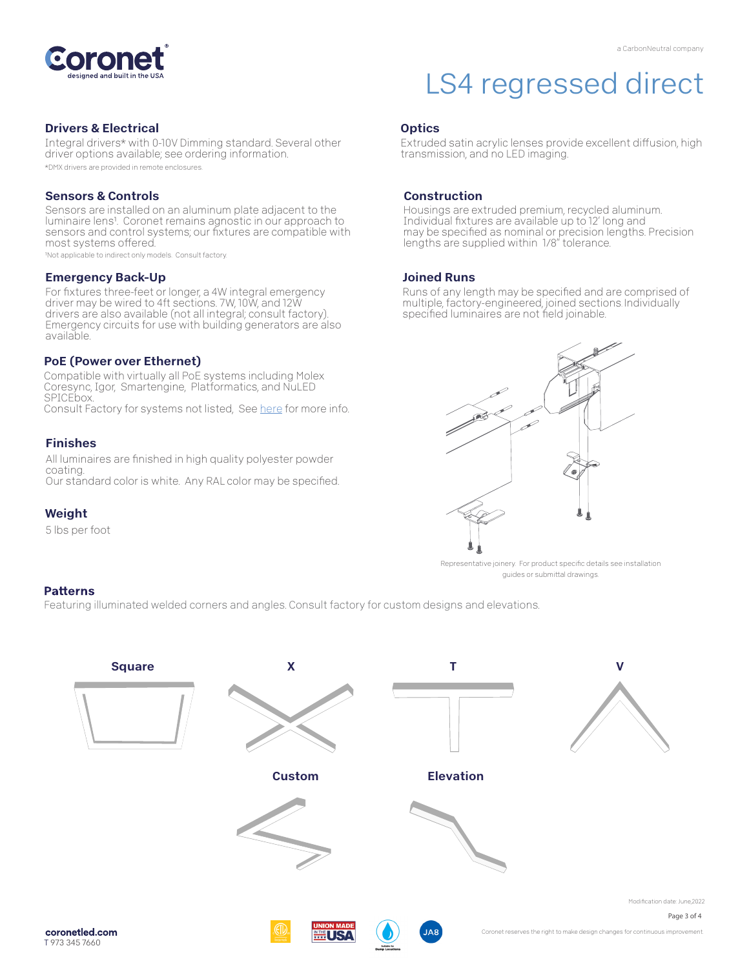

#### Drivers & Electrical

Integral drivers\* with 0-10V Dimming standard. Several other driver options available; see ordering information. \*DMX drivers are provided in remote enclosures.

#### Sensors & Controls

Sensors are installed on an aluminum plate adjacent to the luminaire lens<sup>1</sup>. Coronet remains agnostic in our approach to sensors and control systems; our fixtures are compatible with most systems offered.

1Not applicable to indirect only models. Consult factory.

#### Emergency Back-Up

For fixtures three-feet or longer, a 4W integral emergency driver may be wired to 4ft sections. 7W, 10W, and 12W drivers are also available (not all integral; consult factory). Emergency circuits for use with building generators are also available.

#### PoE (Power over Ethernet)

Compatible with virtually all PoE systems including Molex Coresync, Igor, Smartengine, Platformatics, and NuLED SPICEbox. Consult Factory for systems not listed, See [here f](https://coronetled.com/warranty-technical-info/)or more info.

#### Finishes

All luminaires are finished in high quality polyester powder coating. Our standard color is white. Any RAL color may be specified.

### Weight

5 lbs per foot

#### **Patterns**

Featuring illuminated welded corners and angles. Consult factory for custom designs and elevations.



# LS4 regressed direct

#### **Optics**

Extruded satin acrylic lenses provide excellent diffusion, high transmission, and no LED imaging.

#### Construction

Housings are extruded premium, recycled aluminum. Individual fixtures are available up to 12' long and may be specified as nominal or precision lengths. Precision lengths are supplied within 1/8" tolerance.

#### Joined Runs

Runs of any length may be specified and are comprised of multiple, factory-engineered, joined sections. Individually specified luminaires are not field joinable.



Representative joinery. For product specific details see installation guides or submittal drawings.